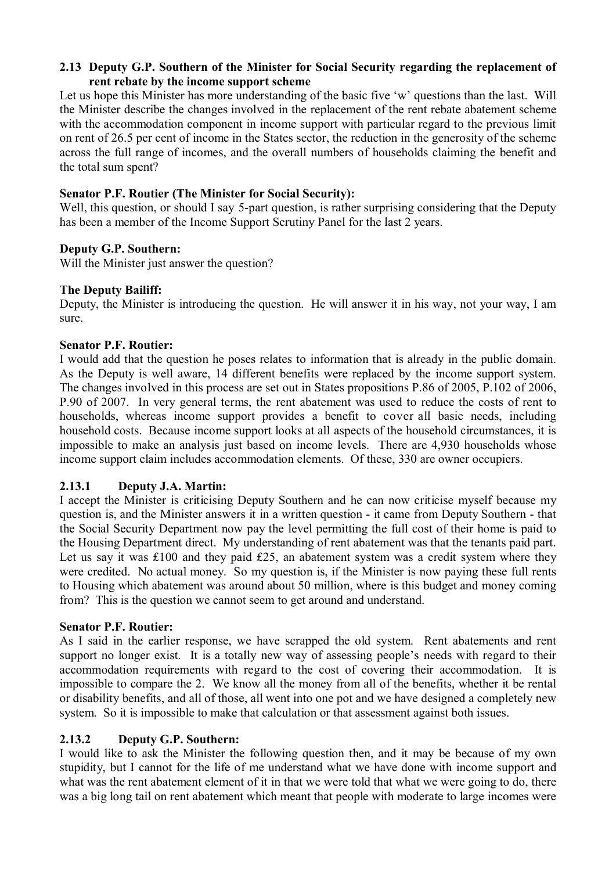## **2.13 Deputy G.P. Southern of the Minister for Social Security regarding the replacement of rent rebate by the income support scheme**

Let us hope this Minister has more understanding of the basic five 'w' questions than the last. Will the Minister describe the changes involved in the replacement of the rent rebate abatement scheme with the accommodation component in income support with particular regard to the previous limit on rent of 26.5 per cent of income in the States sector, the reduction in the generosity of the scheme across the full range of incomes, and the overall numbers of households claiming the benefit and the total sum spent?

### **Senator P.F. Routier (The Minister for Social Security):**

Well, this question, or should I say 5-part question, is rather surprising considering that the Deputy has been a member of the Income Support Scrutiny Panel for the last 2 years.

## **Deputy G.P. Southern:**

Will the Minister just answer the question?

#### **The Deputy Bailiff:**

Deputy, the Minister is introducing the question. He will answer it in his way, not your way, I am sure.

#### **Senator P.F. Routier:**

I would add that the question he poses relates to information that is already in the public domain. As the Deputy is well aware, 14 different benefits were replaced by the income support system. The changes involved in this process are set out in States propositions P.86 of 2005, P.102 of 2006, P.90 of 2007. In very general terms, the rent abatement was used to reduce the costs of rent to households, whereas income support provides a benefit to cover all basic needs, including household costs. Because income support looks at all aspects of the household circumstances, it is impossible to make an analysis just based on income levels. There are 4,930 households whose income support claim includes accommodation elements. Of these, 330 are owner occupiers.

## **2.13.1 Deputy J.A. Martin:**

I accept the Minister is criticising Deputy Southern and he can now criticise myself because my question is, and the Minister answers it in a written question - it came from Deputy Southern - that the Social Security Department now pay the level permitting the full cost of their home is paid to the Housing Department direct. My understanding of rent abatement was that the tenants paid part. Let us say it was £100 and they paid £25, an abatement system was a credit system where they were credited. No actual money. So my question is, if the Minister is now paying these full rents to Housing which abatement was around about 50 million, where is this budget and money coming from? This is the question we cannot seem to get around and understand.

#### **Senator P.F. Routier:**

As I said in the earlier response, we have scrapped the old system. Rent abatements and rent support no longer exist. It is a totally new way of assessing people's needs with regard to their accommodation requirements with regard to the cost of covering their accommodation. It is impossible to compare the 2. We know all the money from all of the benefits, whether it be rental or disability benefits, and all of those, all went into one pot and we have designed a completely new system. So it is impossible to make that calculation or that assessment against both issues.

## **2.13.2 Deputy G.P. Southern:**

I would like to ask the Minister the following question then, and it may be because of my own stupidity, but I cannot for the life of me understand what we have done with income support and what was the rent abatement element of it in that we were told that what we were going to do, there was a big long tail on rent abatement which meant that people with moderate to large incomes were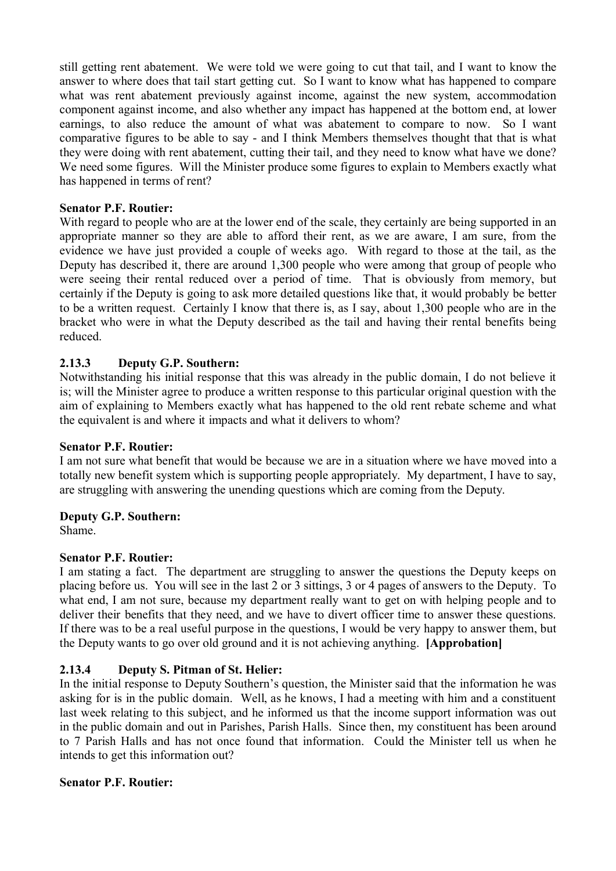still getting rent abatement. We were told we were going to cut that tail, and I want to know the answer to where does that tail start getting cut. So I want to know what has happened to compare what was rent abatement previously against income, against the new system, accommodation component against income, and also whether any impact has happened at the bottom end, at lower earnings, to also reduce the amount of what was abatement to compare to now. So I want comparative figures to be able to say - and I think Members themselves thought that that is what they were doing with rent abatement, cutting their tail, and they need to know what have we done? We need some figures. Will the Minister produce some figures to explain to Members exactly what has happened in terms of rent?

## **Senator P.F. Routier:**

With regard to people who are at the lower end of the scale, they certainly are being supported in an appropriate manner so they are able to afford their rent, as we are aware, I am sure, from the evidence we have just provided a couple of weeks ago. With regard to those at the tail, as the Deputy has described it, there are around 1,300 people who were among that group of people who were seeing their rental reduced over a period of time. That is obviously from memory, but certainly if the Deputy is going to ask more detailed questions like that, it would probably be better to be a written request. Certainly I know that there is, as I say, about 1,300 people who are in the bracket who were in what the Deputy described as the tail and having their rental benefits being reduced.

## **2.13.3 Deputy G.P. Southern:**

Notwithstanding his initial response that this was already in the public domain, I do not believe it is; will the Minister agree to produce a written response to this particular original question with the aim of explaining to Members exactly what has happened to the old rent rebate scheme and what the equivalent is and where it impacts and what it delivers to whom?

#### **Senator P.F. Routier:**

I am not sure what benefit that would be because we are in a situation where we have moved into a totally new benefit system which is supporting people appropriately. My department, I have to say, are struggling with answering the unending questions which are coming from the Deputy.

#### **Deputy G.P. Southern:**

Shame.

#### **Senator P.F. Routier:**

deliver their benefits that they need, and we have to divert officer time to answer these questions. I am stating a fact. The department are struggling to answer the questions the Deputy keeps on placing before us. You will see in the last 2 or 3 sittings, 3 or 4 pages of answers to the Deputy. To what end, I am not sure, because my department really want to get on with helping people and to If there was to be a real useful purpose in the questions. I would be very happy to answer them, but the Deputy wants to go over old ground and it is not achieving anything. **[Approbation]** 

## **2.13.4 Deputy S. Pitman of St. Helier:**

In the initial response to Deputy Southern's question, the Minister said that the information he was asking for is in the public domain. Well, as he knows, I had a meeting with him and a constituent last week relating to this subject, and he informed us that the income support information was out in the public domain and out in Parishes, Parish Halls. Since then, my constituent has been around to 7 Parish Halls and has not once found that information. Could the Minister tell us when he intends to get this information out?

## **Senator P.F. Routier:**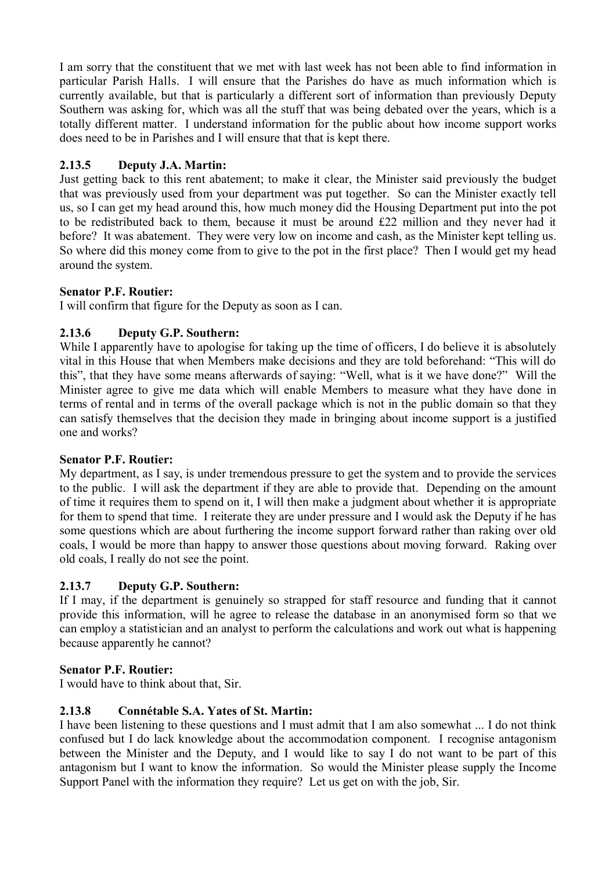I am sorry that the constituent that we met with last week has not been able to find information in particular Parish Halls. I will ensure that the Parishes do have as much information which is currently available, but that is particularly a different sort of information than previously Deputy Southern was asking for, which was all the stuff that was being debated over the years, which is a totally different matter. I understand information for the public about how income support works does need to be in Parishes and I will ensure that that is kept there.

# **2.13.5 Deputy J.A. Martin:**

Just getting back to this rent abatement; to make it clear, the Minister said previously the budget that was previously used from your department was put together. So can the Minister exactly tell us, so I can get my head around this, how much money did the Housing Department put into the pot to be redistributed back to them, because it must be around £22 million and they never had it before? It was abatement. They were very low on income and cash, as the Minister kept telling us. So where did this money come from to give to the pot in the first place? Then I would get my head around the system.

# **Senator P.F. Routier:**

I will confirm that figure for the Deputy as soon as I can.

# **2.13.6 Deputy G.P. Southern:**

While I apparently have to apologise for taking up the time of officers, I do believe it is absolutely vital in this House that when Members make decisions and they are told beforehand: "This will do this", that they have some means afterwards of saying: "Well, what is it we have done?" Will the Minister agree to give me data which will enable Members to measure what they have done in terms of rental and in terms of the overall package which is not in the public domain so that they can satisfy themselves that the decision they made in bringing about income support is a justified one and works?

# **Senator P.F. Routier:**

My department, as I say, is under tremendous pressure to get the system and to provide the services to the public. I will ask the department if they are able to provide that. Depending on the amount of time it requires them to spend on it, I will then make a judgment about whether it is appropriate for them to spend that time. I reiterate they are under pressure and I would ask the Deputy if he has some questions which are about furthering the income support forward rather than raking over old coals, I would be more than happy to answer those questions about moving forward. Raking over old coals, I really do not see the point.

# **2.13.7 Deputy G.P. Southern:**

If I may, if the department is genuinely so strapped for staff resource and funding that it cannot provide this information, will he agree to release the database in an anonymised form so that we can employ a statistician and an analyst to perform the calculations and work out what is happening because apparently he cannot?

# **Senator P.F. Routier:**

I would have to think about that, Sir.

# **2.13.8 Connétable S.A. Yates of St. Martin:**

I have been listening to these questions and I must admit that I am also somewhat ... I do not think confused but I do lack knowledge about the accommodation component. I recognise antagonism between the Minister and the Deputy, and I would like to say I do not want to be part of this antagonism but I want to know the information. So would the Minister please supply the Income Support Panel with the information they require? Let us get on with the job, Sir.